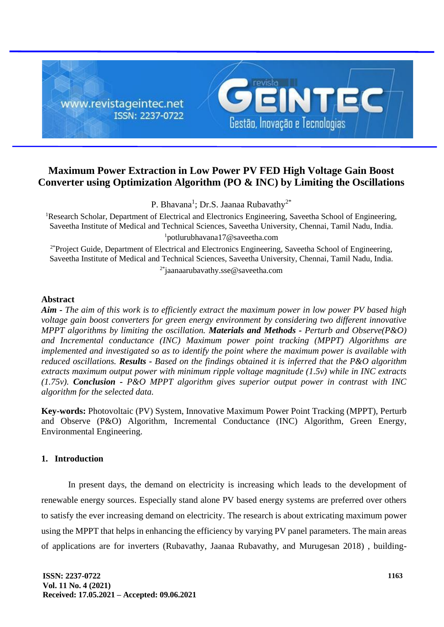

# **Maximum Power Extraction in Low Power PV FED High Voltage Gain Boost Converter using Optimization Algorithm (PO & INC) by Limiting the Oscillations**

P. Bhavana<sup>1</sup>; Dr.S. Jaanaa Rubavathy<sup>2\*</sup>

<sup>1</sup>Research Scholar, Department of Electrical and Electronics Engineering, Saveetha School of Engineering, Saveetha Institute of Medical and Technical Sciences, Saveetha University, Chennai, Tamil Nadu, India. <sup>1</sup>potlurubhavana17@saveetha.com

<sup>2\*</sup>Project Guide, Department of Electrical and Electronics Engineering, Saveetha School of Engineering, Saveetha Institute of Medical and Technical Sciences, Saveetha University, Chennai, Tamil Nadu, India. 2\*jaanaarubavathy.sse@saveetha.com

# **Abstract**

*Aim - The aim of this work is to efficiently extract the maximum power in low power PV based high voltage gain boost converters for green energy environment by considering two different innovative MPPT algorithms by limiting the oscillation. Materials and Methods - Perturb and Observe(P&O) and Incremental conductance (INC) Maximum power point tracking (MPPT) Algorithms are implemented and investigated so as to identify the point where the maximum power is available with reduced oscillations. Results - Based on the findings obtained it is inferred that the P&O algorithm extracts maximum output power with minimum ripple voltage magnitude (1.5v) while in INC extracts (1.75v). Conclusion - P&O MPPT algorithm gives superior output power in contrast with INC algorithm for the selected data.*

**Key-words:** Photovoltaic (PV) System, Innovative Maximum Power Point Tracking (MPPT), Perturb and Observe (P&O) Algorithm, Incremental Conductance (INC) Algorithm, Green Energy, Environmental Engineering.

# **1. Introduction**

In present days, the demand on electricity is increasing which leads to the development of renewable energy sources. Especially stand alone PV based energy systems are preferred over others to satisfy the ever increasing demand on electricity. The research is about extricating maximum power using the MPPT that helps in enhancing the efficiency by varying PV panel parameters. The main areas of applications are for inverters (Rubavathy, Jaanaa Rubavathy, and Murugesan 2018) , building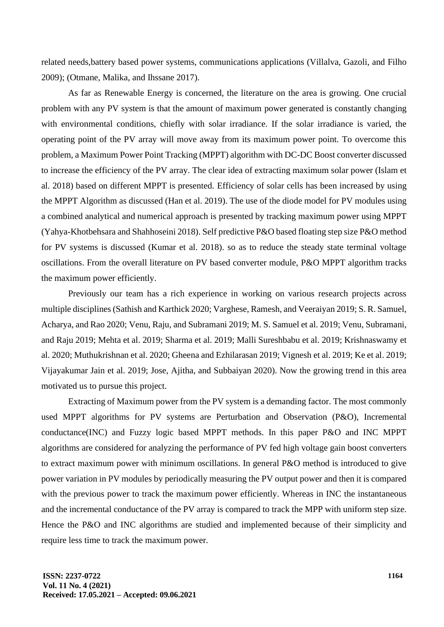related needs,battery based power systems, communications applications (Villalva, Gazoli, and Filho 2009); (Otmane, Malika, and Ihssane 2017).

As far as Renewable Energy is concerned, the literature on the area is growing. One crucial problem with any PV system is that the amount of maximum power generated is constantly changing with environmental conditions, chiefly with solar irradiance. If the solar irradiance is varied, the operating point of the PV array will move away from its maximum power point. To overcome this problem, a Maximum Power Point Tracking (MPPT) algorithm with DC-DC Boost converter discussed to increase the efficiency of the PV array. The clear idea of extracting maximum solar power (Islam et al. 2018) based on different MPPT is presented. Efficiency of solar cells has been increased by using the MPPT Algorithm as discussed (Han et al. 2019). The use of the diode model for PV modules using a combined analytical and numerical approach is presented by tracking maximum power using MPPT (Yahya-Khotbehsara and Shahhoseini 2018). Self predictive P&O based floating step size P&O method for PV systems is discussed (Kumar et al. 2018). so as to reduce the steady state terminal voltage oscillations. From the overall literature on PV based converter module, P&O MPPT algorithm tracks the maximum power efficiently.

Previously our team has a rich experience in working on various research projects across multiple disciplines (Sathish and Karthick 2020; Varghese, Ramesh, and Veeraiyan 2019; S. R. Samuel, Acharya, and Rao 2020; Venu, Raju, and Subramani 2019; M. S. Samuel et al. 2019; Venu, Subramani, and Raju 2019; Mehta et al. 2019; Sharma et al. 2019; Malli Sureshbabu et al. 2019; Krishnaswamy et al. 2020; Muthukrishnan et al. 2020; Gheena and Ezhilarasan 2019; Vignesh et al. 2019; Ke et al. 2019; Vijayakumar Jain et al. 2019; Jose, Ajitha, and Subbaiyan 2020). Now the growing trend in this area motivated us to pursue this project.

Extracting of Maximum power from the PV system is a demanding factor. The most commonly used MPPT algorithms for PV systems are Perturbation and Observation (P&O), Incremental conductance(INC) and Fuzzy logic based MPPT methods. In this paper P&O and INC MPPT algorithms are considered for analyzing the performance of PV fed high voltage gain boost converters to extract maximum power with minimum oscillations. In general P&O method is introduced to give power variation in PV modules by periodically measuring the PV output power and then it is compared with the previous power to track the maximum power efficiently. Whereas in INC the instantaneous and the incremental conductance of the PV array is compared to track the MPP with uniform step size. Hence the P&O and INC algorithms are studied and implemented because of their simplicity and require less time to track the maximum power.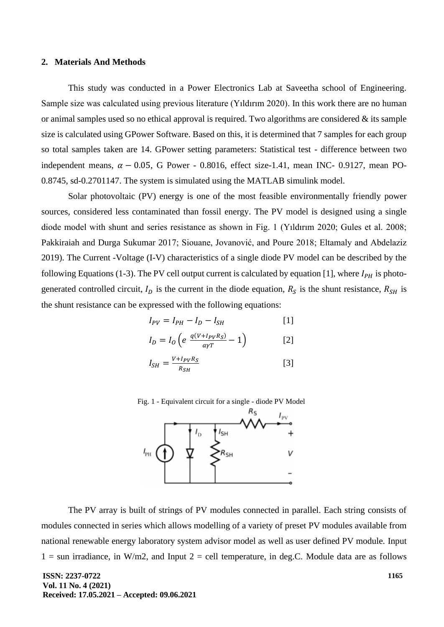### **2. Materials And Methods**

This study was conducted in a Power Electronics Lab at Saveetha school of Engineering. Sample size was calculated using previous literature (Yıldırım 2020). In this work there are no human or animal samples used so no ethical approval is required. Two algorithms are considered  $\&$  its sample size is calculated using GPower Software. Based on this, it is determined that 7 samples for each group so total samples taken are 14. GPower setting parameters: Statistical test - difference between two independent means,  $\alpha - 0.05$ , G Power - 0.8016, effect size-1.41, mean INC- 0.9127, mean PO-0.8745, sd-0.2701147. The system is simulated using the MATLAB simulink model.

Solar photovoltaic (PV) energy is one of the most feasible environmentally friendly power sources, considered less contaminated than fossil energy. The PV model is designed using a single diode model with shunt and series resistance as shown in Fig. 1 (Yıldırım 2020; Gules et al. 2008; Pakkiraiah and Durga Sukumar 2017; Siouane, Jovanović, and Poure 2018; Eltamaly and Abdelaziz 2019). The Current -Voltage (I-V) characteristics of a single diode PV model can be described by the following Equations (1-3). The PV cell output current is calculated by equation [1], where  $I_{PH}$  is photogenerated controlled circuit,  $I_D$  is the current in the diode equation,  $R_S$  is the shunt resistance,  $R_{SH}$  is the shunt resistance can be expressed with the following equations:

$$
I_{PV} = I_{PH} - I_D - I_{SH} \tag{1}
$$

$$
I_D = I_O \left( e \frac{q(V + I_{PV}R_S)}{a\gamma T} - 1 \right)
$$
 [2]

$$
I_{SH} = \frac{V + I_{PV} R_S}{R_{SH}} \tag{3}
$$



The PV array is built of strings of PV modules connected in parallel. Each string consists of modules connected in series which allows modelling of a variety of preset PV modules available from national renewable energy laboratory system advisor model as well as user defined PV module. Input  $1 =$  sun irradiance, in W/m2, and Input  $2 =$  cell temperature, in deg.C. Module data are as follows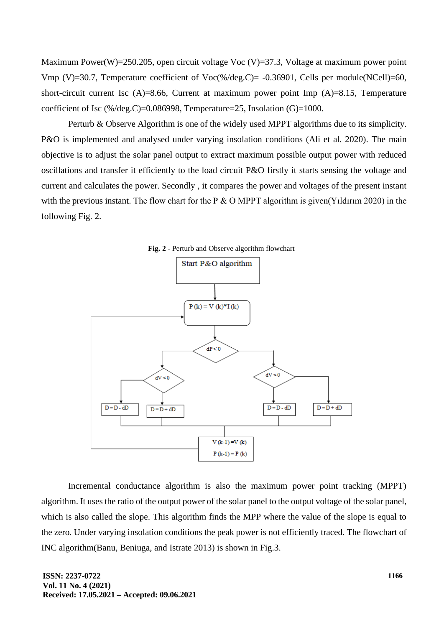Maximum Power(W)=250.205, open circuit voltage Voc (V)=37.3, Voltage at maximum power point Vmp (V)=30.7, Temperature coefficient of  $Vec$ %/deg.C)= -0.36901, Cells per module(NCell)=60, short-circuit current Isc (A)=8.66, Current at maximum power point Imp (A)=8.15, Temperature coefficient of Isc  $(\frac{\%}{\text{deg.C}})=0.086998$ , Temperature=25, Insolation (G)=1000.

Perturb & Observe Algorithm is one of the widely used MPPT algorithms due to its simplicity. P&O is implemented and analysed under varying insolation conditions (Ali et al. 2020). The main objective is to adjust the solar panel output to extract maximum possible output power with reduced oscillations and transfer it efficiently to the load circuit P&O firstly it starts sensing the voltage and current and calculates the power. Secondly , it compares the power and voltages of the present instant with the previous instant. The flow chart for the P  $&$  O MPPT algorithm is given(Yildirim 2020) in the following Fig. 2.



Incremental conductance algorithm is also the maximum power point tracking (MPPT) algorithm. It uses the ratio of the output power of the solar panel to the output voltage of the solar panel, which is also called the slope. This algorithm finds the MPP where the value of the slope is equal to the zero. Under varying insolation conditions the peak power is not efficiently traced. The flowchart of INC algorithm(Banu, Beniuga, and Istrate 2013) is shown in Fig.3.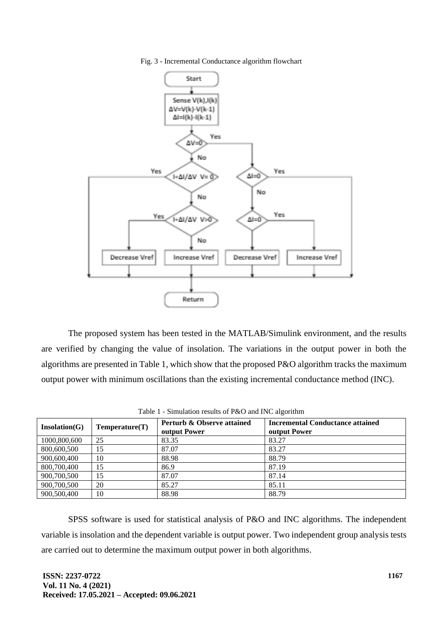Fig. 3 - Incremental Conductance algorithm flowchart



The proposed system has been tested in the MATLAB/Simulink environment, and the results are verified by changing the value of insolation. The variations in the output power in both the algorithms are presented in Table 1, which show that the proposed P&O algorithm tracks the maximum output power with minimum oscillations than the existing incremental conductance method (INC).

| Insolation(G) | Temperature(T) | Perturb & Observe attained<br><b>output Power</b> | <b>Incremental Conductance attained</b><br><b>output Power</b> |  |  |  |  |
|---------------|----------------|---------------------------------------------------|----------------------------------------------------------------|--|--|--|--|
| 1000,800,600  | 25             | 83.35                                             | 83.27                                                          |  |  |  |  |
| 800,600,500   | 15             | 87.07                                             | 83.27                                                          |  |  |  |  |
| 900,600,400   | 10             | 88.98                                             | 88.79                                                          |  |  |  |  |
| 800,700,400   | 15             | 86.9                                              | 87.19                                                          |  |  |  |  |
| 900,700,500   | 15             | 87.07                                             | 87.14                                                          |  |  |  |  |
| 900,700,500   | 20             | 85.27                                             | 85.11                                                          |  |  |  |  |
| 900,500,400   | 10             | 88.98                                             | 88.79                                                          |  |  |  |  |

Table 1 - Simulation results of P&O and INC algorithm

SPSS software is used for statistical analysis of P&O and INC algorithms. The independent variable is insolation and the dependent variable is output power. Two independent group analysis tests are carried out to determine the maximum output power in both algorithms.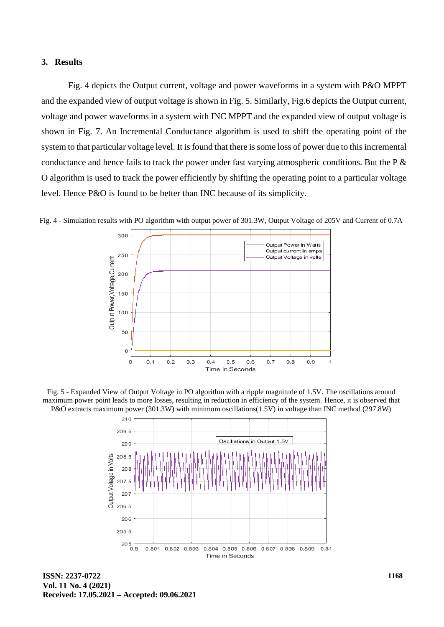### **3. Results**

Fig. 4 depicts the Output current, voltage and power waveforms in a system with P&O MPPT and the expanded view of output voltage is shown in Fig. 5. Similarly, Fig.6 depicts the Output current, voltage and power waveforms in a system with INC MPPT and the expanded view of output voltage is shown in Fig. 7. An Incremental Conductance algorithm is used to shift the operating point of the system to that particular voltage level. It is found that there is some loss of power due to this incremental conductance and hence fails to track the power under fast varying atmospheric conditions. But the  $P \&$ O algorithm is used to track the power efficiently by shifting the operating point to a particular voltage level. Hence P&O is found to be better than INC because of its simplicity.



Fig. 4 - Simulation results with PO algorithm with output power of 301.3W, Output Voltage of 205V and Current of 0.7A

Fig. 5 - Expanded View of Output Voltage in PO algorithm with a ripple magnitude of 1.5V. The oscillations around maximum power point leads to more losses, resulting in reduction in efficiency of the system. Hence, it is observed that P&O extracts maximum power (301.3W) with minimum oscillations(1.5V) in voltage than INC method (297.8W)



**ISSN: 2237-0722 Vol. 11 No. 4 (2021) Received: 17.05.2021 – Accepted: 09.06.2021**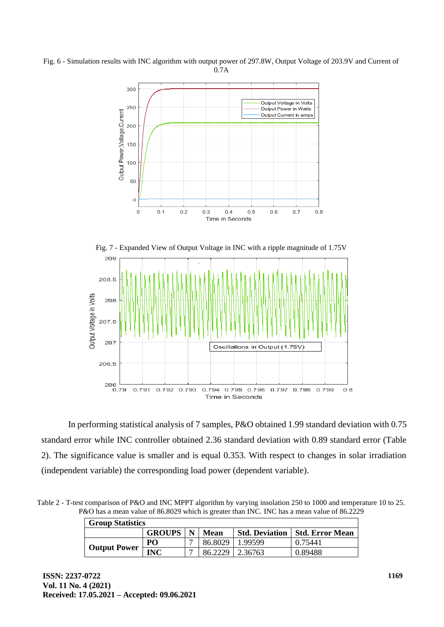Fig. 6 - Simulation results with INC algorithm with output power of 297.8W, Output Voltage of 203.9V and Current of 0.7A





In performing statistical analysis of 7 samples, P&O obtained 1.99 standard deviation with 0.75 standard error while INC controller obtained 2.36 standard deviation with 0.89 standard error (Table 2). The significance value is smaller and is equal 0.353. With respect to changes in solar irradiation (independent variable) the corresponding load power (dependent variable).

Table 2 - T-test comparison of P&O and INC MPPT algorithm by varying insolation 250 to 1000 and temperature 10 to 25. P&O has a mean value of 86.8029 which is greater than INC. INC has a mean value of 86.2229

| <b>Group Statistics</b> |                          |  |         |                   |                                         |  |
|-------------------------|--------------------------|--|---------|-------------------|-----------------------------------------|--|
|                         | <b>GROUPS</b>   N   Mean |  |         |                   | <b>Std. Deviation   Std. Error Mean</b> |  |
| <b>Output Power</b>     | PO                       |  | 86.8029 | 1.99599           | 0.75441                                 |  |
|                         | <b>INC</b>               |  |         | 86.2229   2.36763 | 0.89488                                 |  |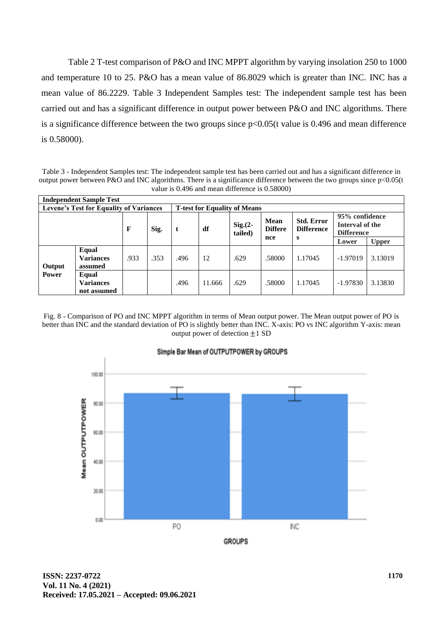Table 2 T-test comparison of P&O and INC MPPT algorithm by varying insolation 250 to 1000 and temperature 10 to 25. P&O has a mean value of 86.8029 which is greater than INC. INC has a mean value of 86.2229. Table 3 Independent Samples test: The independent sample test has been carried out and has a significant difference in output power between P&O and INC algorithms. There is a significance difference between the two groups since p<0.05(t value is 0.496 and mean difference is 0.58000).

Table 3 - Independent Samples test: The independent sample test has been carried out and has a significant difference in output power between P&O and INC algorithms. There is a significance difference between the two groups since p<0.05(t value is 0.496 and mean difference is 0.58000)

| <b>Independent Sample Test</b>                 |                                          |      |                                     |      |        |                        |                                      |                                             |                                                        |              |
|------------------------------------------------|------------------------------------------|------|-------------------------------------|------|--------|------------------------|--------------------------------------|---------------------------------------------|--------------------------------------------------------|--------------|
| <b>Levene's Test for Equality of Variances</b> |                                          |      | <b>T-test for Equality of Means</b> |      |        |                        |                                      |                                             |                                                        |              |
|                                                |                                          | F    | Sig.                                | t    | df     | $Sig. (2 -$<br>tailed) | <b>Mean</b><br><b>Differe</b><br>nce | <b>Std. Error</b><br><b>Difference</b><br>s | 95% confidence<br>Interval of the<br><b>Difference</b> |              |
|                                                |                                          |      |                                     |      |        |                        |                                      |                                             | Lower                                                  | <b>Upper</b> |
| Output<br><b>Power</b>                         | Equal<br><b>Variances</b><br>assumed     | .933 | .353                                | .496 | 12     | .629                   | .58000                               | 1.17045                                     | $-1.97019$                                             | 3.13019      |
|                                                | Equal<br><b>Variances</b><br>not assumed |      |                                     | .496 | 11.666 | .629                   | .58000                               | 1.17045                                     | $-1.97830$                                             | 3.13830      |

Fig. 8 - Comparison of PO and INC MPPT algorithm in terms of Mean output power. The Mean output power of PO is better than INC and the standard deviation of PO is slightly better than INC. X-axis: PO vs INC algorithm Y-axis: mean output power of detection  $\pm 1$  SD



**ISSN: 2237-0722 Vol. 11 No. 4 (2021) Received: 17.05.2021 – Accepted: 09.06.2021**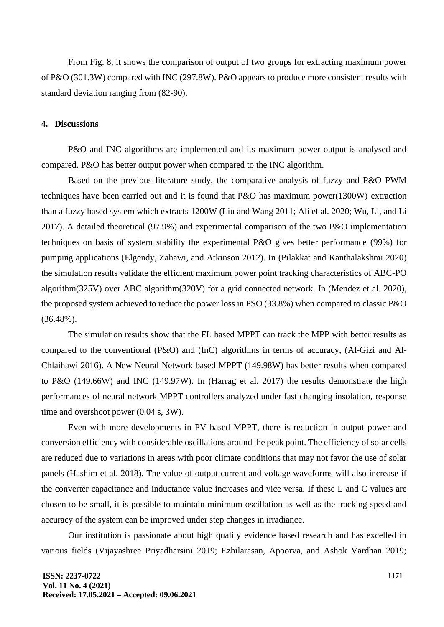From Fig. 8, it shows the comparison of output of two groups for extracting maximum power of P&O (301.3W) compared with INC (297.8W). P&O appears to produce more consistent results with standard deviation ranging from (82-90).

## **4. Discussions**

P&O and INC algorithms are implemented and its maximum power output is analysed and compared. P&O has better output power when compared to the INC algorithm.

Based on the previous literature study, the comparative analysis of fuzzy and P&O PWM techniques have been carried out and it is found that P&O has maximum power(1300W) extraction than a fuzzy based system which extracts 1200W (Liu and Wang 2011; Ali et al. 2020; Wu, Li, and Li 2017). A detailed theoretical (97.9%) and experimental comparison of the two P&O implementation techniques on basis of system stability the experimental P&O gives better performance (99%) for pumping applications (Elgendy, Zahawi, and Atkinson 2012). In (Pilakkat and Kanthalakshmi 2020) the simulation results validate the efficient maximum power point tracking characteristics of ABC-PO algorithm(325V) over ABC algorithm(320V) for a grid connected network. In (Mendez et al. 2020), the proposed system achieved to reduce the power loss in PSO (33.8%) when compared to classic P&O (36.48%).

The simulation results show that the FL based MPPT can track the MPP with better results as compared to the conventional (P&O) and (InC) algorithms in terms of accuracy, (Al-Gizi and Al-Chlaihawi 2016). A New Neural Network based MPPT (149.98W) has better results when compared to P&O (149.66W) and INC (149.97W). In (Harrag et al. 2017) the results demonstrate the high performances of neural network MPPT controllers analyzed under fast changing insolation, response time and overshoot power (0.04 s, 3W).

Even with more developments in PV based MPPT, there is reduction in output power and conversion efficiency with considerable oscillations around the peak point. The efficiency of solar cells are reduced due to variations in areas with poor climate conditions that may not favor the use of solar panels (Hashim et al. 2018). The value of output current and voltage waveforms will also increase if the converter capacitance and inductance value increases and vice versa. If these L and C values are chosen to be small, it is possible to maintain minimum oscillation as well as the tracking speed and accuracy of the system can be improved under step changes in irradiance.

Our institution is passionate about high quality evidence based research and has excelled in various fields (Vijayashree Priyadharsini 2019; Ezhilarasan, Apoorva, and Ashok Vardhan 2019;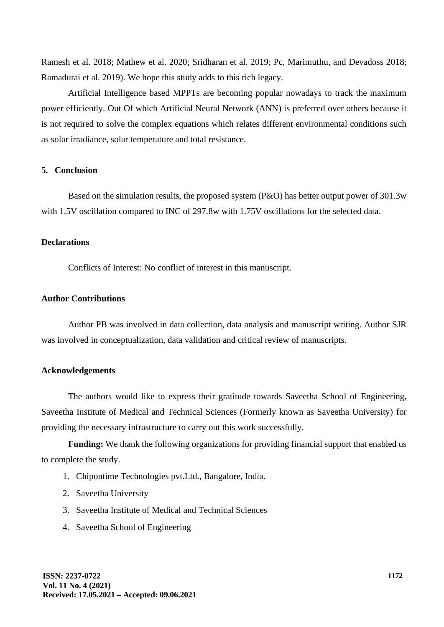Ramesh et al. 2018; Mathew et al. 2020; Sridharan et al. 2019; Pc, Marimuthu, and Devadoss 2018; Ramadurai et al. 2019). We hope this study adds to this rich legacy.

Artificial Intelligence based MPPTs are becoming popular nowadays to track the maximum power efficiently. Out Of which Artificial Neural Network (ANN) is preferred over others because it is not required to solve the complex equations which relates different environmental conditions such as solar irradiance, solar temperature and total resistance.

# **5. Conclusion**

Based on the simulation results, the proposed system (P&O) has better output power of 301.3w with 1.5V oscillation compared to INC of 297.8w with 1.75V oscillations for the selected data.

# **Declarations**

Conflicts of Interest: No conflict of interest in this manuscript.

# **Author Contributions**

Author PB was involved in data collection, data analysis and manuscript writing. Author SJR was involved in conceptualization, data validation and critical review of manuscripts.

## **Acknowledgements**

The authors would like to express their gratitude towards Saveetha School of Engineering, Saveetha Institute of Medical and Technical Sciences (Formerly known as Saveetha University) for providing the necessary infrastructure to carry out this work successfully.

**Funding:** We thank the following organizations for providing financial support that enabled us to complete the study.

- 1. Chipontime Technologies pvt.Ltd., Bangalore, India.
- 2. Saveetha University
- 3. Saveetha Institute of Medical and Technical Sciences
- 4. Saveetha School of Engineering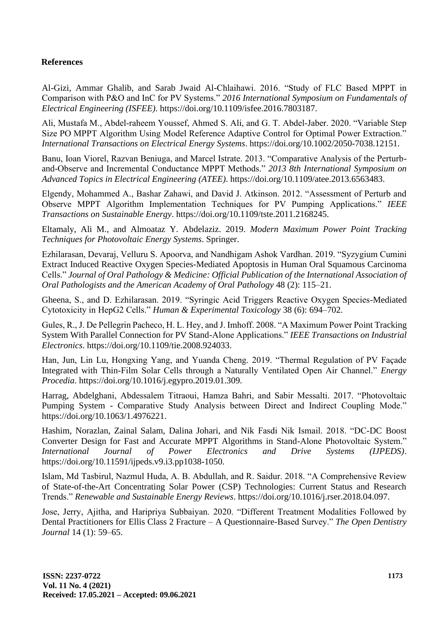# **References**

Al-Gizi, Ammar Ghalib, and Sarab Jwaid Al-Chlaihawi. 2016. "Study of FLC Based MPPT in Comparison with P&O and InC for PV Systems." *2016 International Symposium on Fundamentals of Electrical Engineering (ISFEE)*. https://doi.org/10.1109/isfee.2016.7803187.

Ali, Mustafa M., Abdel‐raheem Youssef, Ahmed S. Ali, and G. T. Abdel‐Jaber. 2020. "Variable Step Size PO MPPT Algorithm Using Model Reference Adaptive Control for Optimal Power Extraction." *International Transactions on Electrical Energy Systems*. https://doi.org/10.1002/2050-7038.12151.

Banu, Ioan Viorel, Razvan Beniuga, and Marcel Istrate. 2013. "Comparative Analysis of the Perturband-Observe and Incremental Conductance MPPT Methods." *2013 8th International Symposium on Advanced Topics in Electrical Engineering (ATEE)*. https://doi.org/10.1109/atee.2013.6563483.

Elgendy, Mohammed A., Bashar Zahawi, and David J. Atkinson. 2012. "Assessment of Perturb and Observe MPPT Algorithm Implementation Techniques for PV Pumping Applications." *IEEE Transactions on Sustainable Energy*. https://doi.org/10.1109/tste.2011.2168245.

Eltamaly, Ali M., and Almoataz Y. Abdelaziz. 2019. *Modern Maximum Power Point Tracking Techniques for Photovoltaic Energy Systems*. Springer.

Ezhilarasan, Devaraj, Velluru S. Apoorva, and Nandhigam Ashok Vardhan. 2019. "Syzygium Cumini Extract Induced Reactive Oxygen Species-Mediated Apoptosis in Human Oral Squamous Carcinoma Cells." *Journal of Oral Pathology & Medicine: Official Publication of the International Association of Oral Pathologists and the American Academy of Oral Pathology* 48 (2): 115–21.

Gheena, S., and D. Ezhilarasan. 2019. "Syringic Acid Triggers Reactive Oxygen Species-Mediated Cytotoxicity in HepG2 Cells." *Human & Experimental Toxicology* 38 (6): 694–702.

Gules, R., J. De Pellegrin Pacheco, H. L. Hey, and J. Imhoff. 2008. "A Maximum Power Point Tracking System With Parallel Connection for PV Stand-Alone Applications." *IEEE Transactions on Industrial Electronics*. https://doi.org/10.1109/tie.2008.924033.

Han, Jun, Lin Lu, Hongxing Yang, and Yuanda Cheng. 2019. "Thermal Regulation of PV Façade Integrated with Thin-Film Solar Cells through a Naturally Ventilated Open Air Channel." *Energy Procedia*. https://doi.org/10.1016/j.egypro.2019.01.309.

Harrag, Abdelghani, Abdessalem Titraoui, Hamza Bahri, and Sabir Messalti. 2017. "Photovoltaic Pumping System - Comparative Study Analysis between Direct and Indirect Coupling Mode." https://doi.org/10.1063/1.4976221.

Hashim, Norazlan, Zainal Salam, Dalina Johari, and Nik Fasdi Nik Ismail. 2018. "DC-DC Boost Converter Design for Fast and Accurate MPPT Algorithms in Stand-Alone Photovoltaic System." *International Journal of Power Electronics and Drive Systems (IJPEDS)*. https://doi.org/10.11591/ijpeds.v9.i3.pp1038-1050.

Islam, Md Tasbirul, Nazmul Huda, A. B. Abdullah, and R. Saidur. 2018. "A Comprehensive Review of State-of-the-Art Concentrating Solar Power (CSP) Technologies: Current Status and Research Trends." *Renewable and Sustainable Energy Reviews*. https://doi.org/10.1016/j.rser.2018.04.097.

Jose, Jerry, Ajitha, and Haripriya Subbaiyan. 2020. "Different Treatment Modalities Followed by Dental Practitioners for Ellis Class 2 Fracture – A Questionnaire-Based Survey." *The Open Dentistry Journal* 14 (1): 59–65.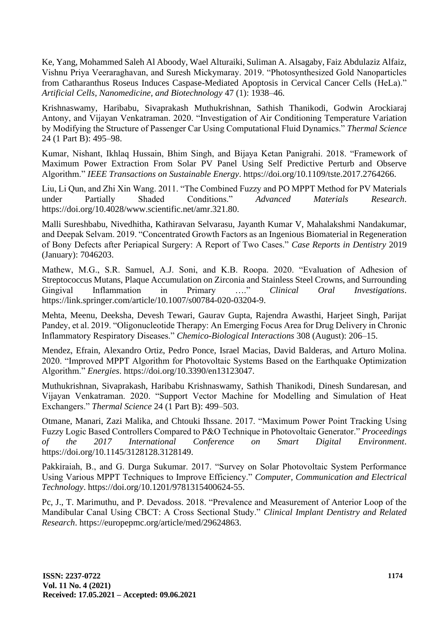Ke, Yang, Mohammed Saleh Al Aboody, Wael Alturaiki, Suliman A. Alsagaby, Faiz Abdulaziz Alfaiz, Vishnu Priya Veeraraghavan, and Suresh Mickymaray. 2019. "Photosynthesized Gold Nanoparticles from Catharanthus Roseus Induces Caspase-Mediated Apoptosis in Cervical Cancer Cells (HeLa)." *Artificial Cells, Nanomedicine, and Biotechnology* 47 (1): 1938–46.

Krishnaswamy, Haribabu, Sivaprakash Muthukrishnan, Sathish Thanikodi, Godwin Arockiaraj Antony, and Vijayan Venkatraman. 2020. "Investigation of Air Conditioning Temperature Variation by Modifying the Structure of Passenger Car Using Computational Fluid Dynamics." *Thermal Science* 24 (1 Part B): 495–98.

Kumar, Nishant, Ikhlaq Hussain, Bhim Singh, and Bijaya Ketan Panigrahi. 2018. "Framework of Maximum Power Extraction From Solar PV Panel Using Self Predictive Perturb and Observe Algorithm." *IEEE Transactions on Sustainable Energy*. https://doi.org/10.1109/tste.2017.2764266.

Liu, Li Qun, and Zhi Xin Wang. 2011. "The Combined Fuzzy and PO MPPT Method for PV Materials under Partially Shaded Conditions." *Advanced Materials Research*. https://doi.org/10.4028/www.scientific.net/amr.321.80.

Malli Sureshbabu, Nivedhitha, Kathiravan Selvarasu, Jayanth Kumar V, Mahalakshmi Nandakumar, and Deepak Selvam. 2019. "Concentrated Growth Factors as an Ingenious Biomaterial in Regeneration of Bony Defects after Periapical Surgery: A Report of Two Cases." *Case Reports in Dentistry* 2019 (January): 7046203.

Mathew, M.G., S.R. Samuel, A.J. Soni, and K.B. Roopa. 2020. "Evaluation of Adhesion of Streptococcus Mutans, Plaque Accumulation on Zirconia and Stainless Steel Crowns, and Surrounding Gingival Inflammation in Primary …." *Clinical Oral Investigations*. https://link.springer.com/article/10.1007/s00784-020-03204-9.

Mehta, Meenu, Deeksha, Devesh Tewari, Gaurav Gupta, Rajendra Awasthi, Harjeet Singh, Parijat Pandey, et al. 2019. "Oligonucleotide Therapy: An Emerging Focus Area for Drug Delivery in Chronic Inflammatory Respiratory Diseases." *Chemico-Biological Interactions* 308 (August): 206–15.

Mendez, Efrain, Alexandro Ortiz, Pedro Ponce, Israel Macias, David Balderas, and Arturo Molina. 2020. "Improved MPPT Algorithm for Photovoltaic Systems Based on the Earthquake Optimization Algorithm." *Energies*. https://doi.org/10.3390/en13123047.

Muthukrishnan, Sivaprakash, Haribabu Krishnaswamy, Sathish Thanikodi, Dinesh Sundaresan, and Vijayan Venkatraman. 2020. "Support Vector Machine for Modelling and Simulation of Heat Exchangers." *Thermal Science* 24 (1 Part B): 499–503.

Otmane, Manari, Zazi Malika, and Chtouki Ihssane. 2017. "Maximum Power Point Tracking Using Fuzzy Logic Based Controllers Compared to P&O Technique in Photovoltaic Generator." *Proceedings of the 2017 International Conference on Smart Digital Environment*. https://doi.org/10.1145/3128128.3128149.

Pakkiraiah, B., and G. Durga Sukumar. 2017. "Survey on Solar Photovoltaic System Performance Using Various MPPT Techniques to Improve Efficiency." *Computer, Communication and Electrical Technology*. https://doi.org/10.1201/9781315400624-55.

Pc, J., T. Marimuthu, and P. Devadoss. 2018. "Prevalence and Measurement of Anterior Loop of the Mandibular Canal Using CBCT: A Cross Sectional Study." *Clinical Implant Dentistry and Related Research*. https://europepmc.org/article/med/29624863.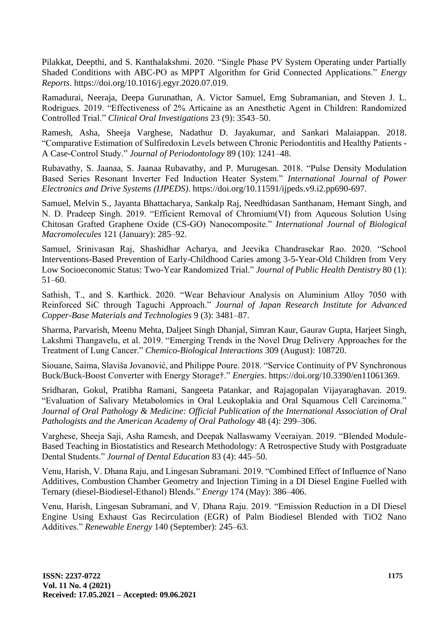Pilakkat, Deepthi, and S. Kanthalakshmi. 2020. "Single Phase PV System Operating under Partially Shaded Conditions with ABC-PO as MPPT Algorithm for Grid Connected Applications." *Energy Reports*. https://doi.org/10.1016/j.egyr.2020.07.019.

Ramadurai, Neeraja, Deepa Gurunathan, A. Victor Samuel, Emg Subramanian, and Steven J. L. Rodrigues. 2019. "Effectiveness of 2% Articaine as an Anesthetic Agent in Children: Randomized Controlled Trial." *Clinical Oral Investigations* 23 (9): 3543–50.

Ramesh, Asha, Sheeja Varghese, Nadathur D. Jayakumar, and Sankari Malaiappan. 2018. "Comparative Estimation of Sulfiredoxin Levels between Chronic Periodontitis and Healthy Patients - A Case-Control Study." *Journal of Periodontology* 89 (10): 1241–48.

Rubavathy, S. Jaanaa, S. Jaanaa Rubavathy, and P. Murugesan. 2018. "Pulse Density Modulation Based Series Resonant Inverter Fed Induction Heater System." *International Journal of Power Electronics and Drive Systems (IJPEDS)*. https://doi.org/10.11591/ijpeds.v9.i2.pp690-697.

Samuel, Melvin S., Jayanta Bhattacharya, Sankalp Raj, Needhidasan Santhanam, Hemant Singh, and N. D. Pradeep Singh. 2019. "Efficient Removal of Chromium(VI) from Aqueous Solution Using Chitosan Grafted Graphene Oxide (CS-GO) Nanocomposite." *International Journal of Biological Macromolecules* 121 (January): 285–92.

Samuel, Srinivasan Raj, Shashidhar Acharya, and Jeevika Chandrasekar Rao. 2020. "School Interventions-Based Prevention of Early-Childhood Caries among 3-5-Year-Old Children from Very Low Socioeconomic Status: Two-Year Randomized Trial." *Journal of Public Health Dentistry* 80 (1): 51–60.

Sathish, T., and S. Karthick. 2020. "Wear Behaviour Analysis on Aluminium Alloy 7050 with Reinforced SiC through Taguchi Approach." *Journal of Japan Research Institute for Advanced Copper-Base Materials and Technologies* 9 (3): 3481–87.

Sharma, Parvarish, Meenu Mehta, Daljeet Singh Dhanjal, Simran Kaur, Gaurav Gupta, Harjeet Singh, Lakshmi Thangavelu, et al. 2019. "Emerging Trends in the Novel Drug Delivery Approaches for the Treatment of Lung Cancer." *Chemico-Biological Interactions* 309 (August): 108720.

Siouane, Saima, Slaviša Jovanović, and Philippe Poure. 2018. "Service Continuity of PV Synchronous Buck/Buck-Boost Converter with Energy Storage†." *Energies*. https://doi.org/10.3390/en11061369.

Sridharan, Gokul, Pratibha Ramani, Sangeeta Patankar, and Rajagopalan Vijayaraghavan. 2019. "Evaluation of Salivary Metabolomics in Oral Leukoplakia and Oral Squamous Cell Carcinoma." *Journal of Oral Pathology & Medicine: Official Publication of the International Association of Oral Pathologists and the American Academy of Oral Pathology* 48 (4): 299–306.

Varghese, Sheeja Saji, Asha Ramesh, and Deepak Nallaswamy Veeraiyan. 2019. "Blended Module-Based Teaching in Biostatistics and Research Methodology: A Retrospective Study with Postgraduate Dental Students." *Journal of Dental Education* 83 (4): 445–50.

Venu, Harish, V. Dhana Raju, and Lingesan Subramani. 2019. "Combined Effect of Influence of Nano Additives, Combustion Chamber Geometry and Injection Timing in a DI Diesel Engine Fuelled with Ternary (diesel-Biodiesel-Ethanol) Blends." *Energy* 174 (May): 386–406.

Venu, Harish, Lingesan Subramani, and V. Dhana Raju. 2019. "Emission Reduction in a DI Diesel Engine Using Exhaust Gas Recirculation (EGR) of Palm Biodiesel Blended with TiO2 Nano Additives." *Renewable Energy* 140 (September): 245–63.